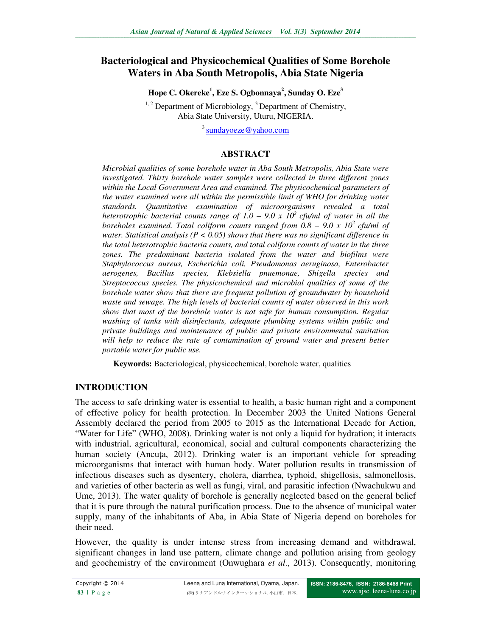# **Bacteriological and Physicochemical Qualities of Some Borehole Waters in Aba South Metropolis, Abia State Nigeria**

**Hope C. Okereke<sup>1</sup> , Eze S. Ogbonnaya<sup>2</sup> , Sunday O. Eze<sup>3</sup>**

 $1, 2$  Department of Microbiology,  $3$  Department of Chemistry, Abia State University, Uturu, NIGERIA.

<sup>3</sup> sundayoeze@yahoo.com

#### **ABSTRACT**

*Microbial qualities of some borehole water in Aba South Metropolis, Abia State were investigated. Thirty borehole water samples were collected in three different zones within the Local Government Area and examined. The physicochemical parameters of the water examined were all within the permissible limit of WHO for drinking water standards. Quantitative examination of microorganisms revealed a total heterotrophic bacterial counts range of 1.0 – 9.0 x 10<sup>2</sup>cfu/ml of water in all the boreholes examined. Total coliform counts ranged from 0.8 – 9.0 x 10<sup>2</sup>cfu/ml of water. Statistical analysis (P < 0.05) shows that there was no significant difference in the total heterotrophic bacteria counts, and total coliform counts of water in the three zones. The predominant bacteria isolated from the water and biofilms were Staphylococcus aureus, Escherichia coli, Pseudomonas aeruginosa, Enterobacter aerogenes, Bacillus species, Klebsiella pnuemonae, Shigella species and Streptococcus species. The physicochemical and microbial qualities of some of the borehole water show that there are frequent pollution of groundwater by household waste and sewage. The high levels of bacterial counts of water observed in this work show that most of the borehole water is not safe for human consumption. Regular washing of tanks with disinfectants, adequate plumbing systems within public and private buildings and maintenance of public and private environmental sanitation*  will help to reduce the rate of contamination of ground water and present better *portable water for public use.* 

**Keywords:** Bacteriological, physicochemical, borehole water, qualities

## **INTRODUCTION**

The access to safe drinking water is essential to health, a basic human right and a component of effective policy for health protection. In December 2003 the United Nations General Assembly declared the period from 2005 to 2015 as the International Decade for Action, "Water for Life" (WHO, 2008). Drinking water is not only a liquid for hydration; it interacts with industrial, agricultural, economical, social and cultural components characterizing the human society (Ancuta, 2012). Drinking water is an important vehicle for spreading microorganisms that interact with human body. Water pollution results in transmission of infectious diseases such as dysentery, cholera, diarrhea, typhoid, shigellosis, salmonellosis, and varieties of other bacteria as well as fungi, viral, and parasitic infection (Nwachukwu and Ume, 2013). The water quality of borehole is generally neglected based on the general belief that it is pure through the natural purification process. Due to the absence of municipal water supply, many of the inhabitants of Aba, in Abia State of Nigeria depend on boreholes for their need.

However, the quality is under intense stress from increasing demand and withdrawal, significant changes in land use pattern, climate change and pollution arising from geology and geochemistry of the environment (Onwughara *et al*., 2013). Consequently, monitoring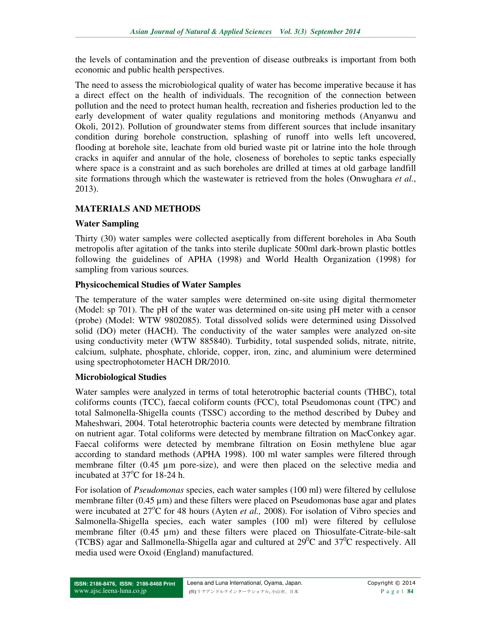the levels of contamination and the prevention of disease outbreaks is important from both economic and public health perspectives.

The need to assess the microbiological quality of water has become imperative because it has a direct effect on the health of individuals. The recognition of the connection between pollution and the need to protect human health, recreation and fisheries production led to the early development of water quality regulations and monitoring methods (Anyanwu and Okoli, 2012). Pollution of groundwater stems from different sources that include insanitary condition during borehole construction, splashing of runoff into wells left uncovered, flooding at borehole site, leachate from old buried waste pit or latrine into the hole through cracks in aquifer and annular of the hole, closeness of boreholes to septic tanks especially where space is a constraint and as such boreholes are drilled at times at old garbage landfill site formations through which the wastewater is retrieved from the holes (Onwughara *et al*., 2013).

## **MATERIALS AND METHODS**

### **Water Sampling**

Thirty (30) water samples were collected aseptically from different boreholes in Aba South metropolis after agitation of the tanks into sterile duplicate 500ml dark-brown plastic bottles following the guidelines of APHA (1998) and World Health Organization (1998) for sampling from various sources.

### **Physicochemical Studies of Water Samples**

The temperature of the water samples were determined on-site using digital thermometer (Model: sp 701). The pH of the water was determined on-site using pH meter with a censor (probe) (Model: WTW 9802085). Total dissolved solids were determined using Dissolved solid (DO) meter (HACH). The conductivity of the water samples were analyzed on-site using conductivity meter (WTW 885840). Turbidity, total suspended solids, nitrate, nitrite, calcium, sulphate, phosphate, chloride, copper, iron, zinc, and aluminium were determined using spectrophotometer HACH DR/2010.

#### **Microbiological Studies**

Water samples were analyzed in terms of total heterotrophic bacterial counts (THBC), total coliforms counts (TCC), faecal coliform counts (FCC), total Pseudomonas count (TPC) and total Salmonella-Shigella counts (TSSC) according to the method described by Dubey and Maheshwari, 2004. Total heterotrophic bacteria counts were detected by membrane filtration on nutrient agar. Total coliforms were detected by membrane filtration on MacConkey agar. Faecal coliforms were detected by membrane filtration on Eosin methylene blue agar according to standard methods (APHA 1998). 100 ml water samples were filtered through membrane filter  $(0.45 \mu m)$  pore-size), and were then placed on the selective media and incubated at  $37^{\circ}$ C for 18-24 h.

For isolation of *Pseudomonas* species, each water samples (100 ml) were filtered by cellulose membrane filter  $(0.45 \mu m)$  and these filters were placed on Pseudomonas base agar and plates were incubated at 27<sup>o</sup>C for 48 hours (Ayten *et al.*, 2008). For isolation of Vibro species and Salmonella-Shigella species, each water samples (100 ml) were filtered by cellulose membrane filter  $(0.45 \mu m)$  and these filters were placed on Thiosulfate-Citrate-bile-salt (TCBS) agar and Sallmonella-Shigella agar and cultured at  $29^0C$  and  $37^0C$  respectively. All media used were Oxoid (England) manufactured.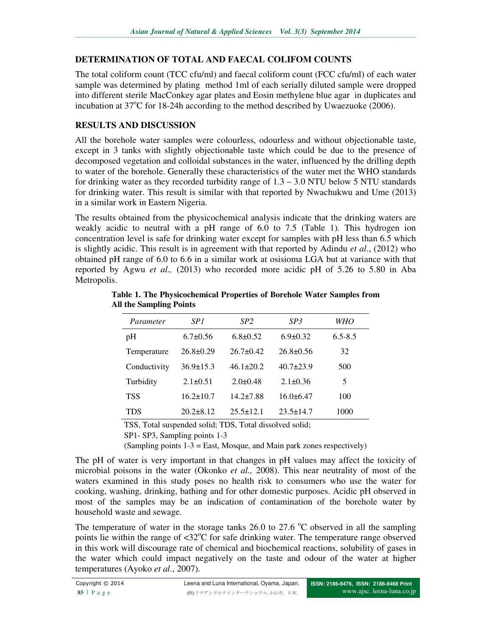# **DETERMINATION OF TOTAL AND FAECAL COLIFOM COUNTS**

The total coliform count (TCC cfu/ml) and faecal coliform count (FCC cfu/ml) of each water sample was determined by plating method 1ml of each serially diluted sample were dropped into different sterile MacConkey agar plates and Eosin methylene blue agar in duplicates and incubation at  $37^{\circ}$ C for 18-24h according to the method described by Uwaezuoke (2006).

## **RESULTS AND DISCUSSION**

All the borehole water samples were colourless, odourless and without objectionable taste, except in 3 tanks with slightly objectionable taste which could be due to the presence of decomposed vegetation and colloidal substances in the water, influenced by the drilling depth to water of the borehole. Generally these characteristics of the water met the WHO standards for drinking water as they recorded turbidity range of  $1.3 - 3.0$  NTU below 5 NTU standards for drinking water. This result is similar with that reported by Nwachukwu and Ume (2013) in a similar work in Eastern Nigeria.

The results obtained from the physicochemical analysis indicate that the drinking waters are weakly acidic to neutral with a pH range of 6.0 to 7.5 (Table 1). This hydrogen ion concentration level is safe for drinking water except for samples with pH less than 6.5 which is slightly acidic. This result is in agreement with that reported by Adindu *et al*., (2012) who obtained pH range of 6.0 to 6.6 in a similar work at osisioma LGA but at variance with that reported by Agwu *et al.,* (2013) who recorded more acidic pH of 5.26 to 5.80 in Aba Metropolis.

| Parameter    | SP1             | SP <sub>2</sub> | SP3             | WHO         |
|--------------|-----------------|-----------------|-----------------|-------------|
| pH           | $6.7 \pm 0.56$  | $6.8 \pm 0.52$  | $6.9 \pm 0.32$  | $6.5 - 8.5$ |
| Temperature  | $26.8 \pm 0.29$ | $26.7 \pm 0.42$ | $26.8 \pm 0.56$ | 32          |
| Conductivity | $36.9 \pm 15.3$ | $46.1 \pm 20.2$ | $40.7 \pm 23.9$ | 500         |
| Turbidity    | $2.1 \pm 0.51$  | $2.0\pm 0.48$   | $2.1 \pm 0.36$  | 5           |
| <b>TSS</b>   | $16.2 \pm 10.7$ | $14.2 \pm 7.88$ | $16.0\pm 6.47$  | 100         |
| TDS          | $20.2\pm8.12$   | $25.5 \pm 12.1$ | $23.5 \pm 14.7$ | 1000        |

**Table 1. The Physicochemical Properties of Borehole Water Samples from All the Sampling Points** 

TSS, Total suspended solid; TDS, Total dissolved solid;

(Sampling points 1-3 = East, Mosque, and Main park zones respectively)

The pH of water is very important in that changes in pH values may affect the toxicity of microbial poisons in the water (Okonko *et al.,* 2008). This near neutrality of most of the waters examined in this study poses no health risk to consumers who use the water for cooking, washing, drinking, bathing and for other domestic purposes. Acidic pH observed in most of the samples may be an indication of contamination of the borehole water by household waste and sewage.

The temperature of water in the storage tanks 26.0 to 27.6  $^{\circ}$ C observed in all the sampling points lie within the range of  $\langle 32^{\circ}$ C for safe drinking water. The temperature range observed in this work will discourage rate of chemical and biochemical reactions, solubility of gases in the water which could impact negatively on the taste and odour of the water at higher temperatures (Ayoko *et al*., 2007).

SP1- SP3, Sampling points 1-3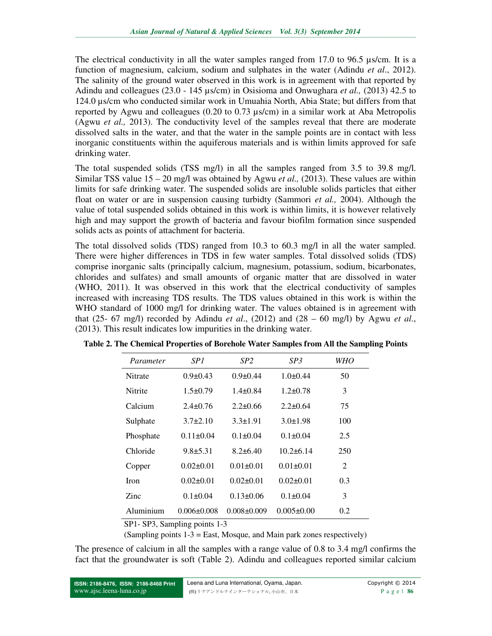The electrical conductivity in all the water samples ranged from 17.0 to 96.5 µs/cm. It is a function of magnesium, calcium, sodium and sulphates in the water (Adindu *et al*., 2012). The salinity of the ground water observed in this work is in agreement with that reported by Adindu and colleagues (23.0 - 145 µs/cm) in Osisioma and Onwughara *et al.,* (2013) 42.5 to 124.0 µs/cm who conducted similar work in Umuahia North, Abia State; but differs from that reported by Agwu and colleagues (0.20 to 0.73 µs/cm) in a similar work at Aba Metropolis (Agwu *et al.,* 2013). The conductivity level of the samples reveal that there are moderate dissolved salts in the water, and that the water in the sample points are in contact with less inorganic constituents within the aquiferous materials and is within limits approved for safe drinking water.

The total suspended solids (TSS mg/l) in all the samples ranged from 3.5 to 39.8 mg/l. Similar TSS value 15 – 20 mg/l was obtained by Agwu *et al.,* (2013). These values are within limits for safe drinking water. The suspended solids are insoluble solids particles that either float on water or are in suspension causing turbidty (Sammori *et al.,* 2004). Although the value of total suspended solids obtained in this work is within limits, it is however relatively high and may support the growth of bacteria and favour biofilm formation since suspended solids acts as points of attachment for bacteria.

The total dissolved solids (TDS) ranged from 10.3 to 60.3 mg/l in all the water sampled. There were higher differences in TDS in few water samples. Total dissolved solids (TDS) comprise inorganic salts (principally calcium, magnesium, potassium, sodium, bicarbonates, chlorides and sulfates) and small amounts of organic matter that are dissolved in water (WHO, 2011). It was observed in this work that the electrical conductivity of samples increased with increasing TDS results. The TDS values obtained in this work is within the WHO standard of 1000 mg/l for drinking water. The values obtained is in agreement with that (25- 67 mg/l) recorded by Adindu *et al*., (2012) and (28 – 60 mg/l) by Agwu *et al*., (2013). This result indicates low impurities in the drinking water.

| Parameter   | SP1               | SP <sub>2</sub>   | SP3              | WHO |
|-------------|-------------------|-------------------|------------------|-----|
| Nitrate     | $0.9 \pm 0.43$    | $0.9 \pm 0.44$    | $1.0\pm 0.44$    | 50  |
| Nitrite     | $1.5 \pm 0.79$    | $1.4 \pm 0.84$    | $1.2 + 0.78$     | 3   |
| Calcium     | $2.4 + 0.76$      | $2.2 + 0.66$      | $2.2 + 0.64$     | 75  |
| Sulphate    | $3.7\pm2.10$      | $3.3 \pm 1.91$    | $3.0 \pm 1.98$   | 100 |
| Phosphate   | $0.11 \pm 0.04$   | $0.1 + 0.04$      | $0.1 + 0.04$     | 2.5 |
| Chloride    | $9.8 + 5.31$      | $8.2\pm 6.40$     | $10.2\pm 6.14$   | 250 |
| Copper      | $0.02 \pm 0.01$   | $0.01 \pm 0.01$   | $0.01 + 0.01$    | 2   |
| <b>Iron</b> | $0.02 \pm 0.01$   | $0.02 + 0.01$     | $0.02 + 0.01$    | 0.3 |
| Zinc        | $0.1 \pm 0.04$    | $0.13 \pm 0.06$   | $0.1 + 0.04$     | 3   |
| Aluminium   | $0.006 \pm 0.008$ | $0.008 \pm 0.009$ | $0.005 \pm 0.00$ | 0.2 |

**Table 2. The Chemical Properties of Borehole Water Samples from All the Sampling Points** 

SP1- SP3, Sampling points 1-3

(Sampling points 1-3 = East, Mosque, and Main park zones respectively)

The presence of calcium in all the samples with a range value of 0.8 to 3.4 mg/l confirms the fact that the groundwater is soft (Table 2). Adindu and colleagues reported similar calcium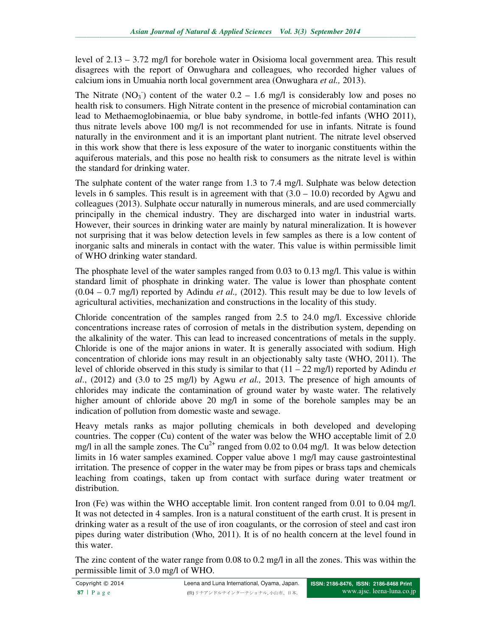level of 2.13 – 3.72 mg/l for borehole water in Osisioma local government area. This result disagrees with the report of Onwughara and colleagues*,* who recorded higher values of calcium ions in Umuahia north local government area (Onwughara *et al.,* 2013).

The Nitrate  $(NO_3^-)$  content of the water  $0.2 - 1.6$  mg/l is considerably low and poses no health risk to consumers. High Nitrate content in the presence of microbial contamination can lead to Methaemoglobinaemia, or blue baby syndrome, in bottle-fed infants (WHO 2011), thus nitrate levels above 100 mg/l is not recommended for use in infants. Nitrate is found naturally in the environment and it is an important plant nutrient. The nitrate level observed in this work show that there is less exposure of the water to inorganic constituents within the aquiferous materials, and this pose no health risk to consumers as the nitrate level is within the standard for drinking water.

The sulphate content of the water range from 1.3 to 7.4 mg/l. Sulphate was below detection levels in 6 samples. This result is in agreement with that  $(3.0 - 10.0)$  recorded by Agwu and colleagues (2013). Sulphate occur naturally in numerous minerals, and are used commercially principally in the chemical industry. They are discharged into water in industrial warts. However, their sources in drinking water are mainly by natural mineralization. It is however not surprising that it was below detection levels in few samples as there is a low content of inorganic salts and minerals in contact with the water. This value is within permissible limit of WHO drinking water standard.

The phosphate level of the water samples ranged from 0.03 to 0.13 mg/l. This value is within standard limit of phosphate in drinking water. The value is lower than phosphate content (0.04 – 0.7 mg/l) reported by Adindu *et al.,* (2012). This result may be due to low levels of agricultural activities, mechanization and constructions in the locality of this study.

Chloride concentration of the samples ranged from 2.5 to 24.0 mg/l. Excessive chloride concentrations increase rates of corrosion of metals in the distribution system, depending on the alkalinity of the water. This can lead to increased concentrations of metals in the supply. Chloride is one of the major anions in water. It is generally associated with sodium. High concentration of chloride ions may result in an objectionably salty taste (WHO, 2011). The level of chloride observed in this study is similar to that (11 – 22 mg/l) reported by Adindu *et al*., (2012) and (3.0 to 25 mg/l) by Agwu *et al.,* 2013. The presence of high amounts of chlorides may indicate the contamination of ground water by waste water. The relatively higher amount of chloride above 20 mg/l in some of the borehole samples may be an indication of pollution from domestic waste and sewage.

Heavy metals ranks as major polluting chemicals in both developed and developing countries. The copper (Cu) content of the water was below the WHO acceptable limit of 2.0 mg/l in all the sample zones. The  $Cu^{2+}$  ranged from 0.02 to 0.04 mg/l. It was below detection limits in 16 water samples examined. Copper value above 1 mg/l may cause gastrointestinal irritation. The presence of copper in the water may be from pipes or brass taps and chemicals leaching from coatings, taken up from contact with surface during water treatment or distribution.

Iron (Fe) was within the WHO acceptable limit. Iron content ranged from 0.01 to 0.04 mg/l. It was not detected in 4 samples. Iron is a natural constituent of the earth crust. It is present in drinking water as a result of the use of iron coagulants, or the corrosion of steel and cast iron pipes during water distribution (Who, 2011). It is of no health concern at the level found in this water.

The zinc content of the water range from 0.08 to 0.2 mg/l in all the zones. This was within the permissible limit of 3.0 mg/l of WHO.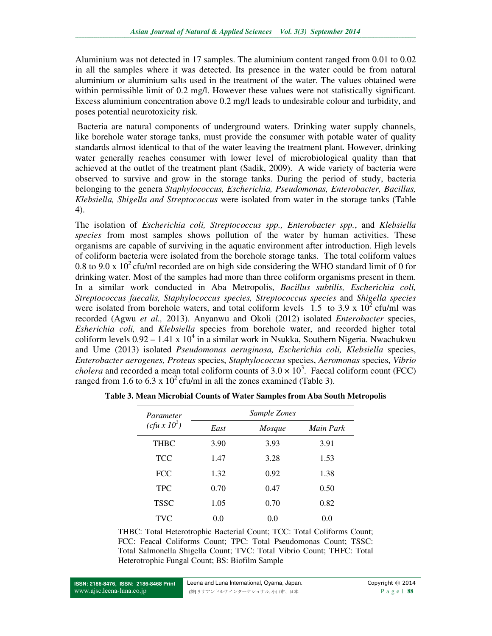Aluminium was not detected in 17 samples. The aluminium content ranged from 0.01 to 0.02 in all the samples where it was detected. Its presence in the water could be from natural aluminium or aluminium salts used in the treatment of the water. The values obtained were within permissible limit of 0.2 mg/l. However these values were not statistically significant. Excess aluminium concentration above 0.2 mg/l leads to undesirable colour and turbidity, and poses potential neurotoxicity risk.

 Bacteria are natural components of underground waters. Drinking water supply channels, like borehole water storage tanks, must provide the consumer with potable water of quality standards almost identical to that of the water leaving the treatment plant. However, drinking water generally reaches consumer with lower level of microbiological quality than that achieved at the outlet of the treatment plant (Sadik, 2009). A wide variety of bacteria were observed to survive and grow in the storage tanks. During the period of study, bacteria belonging to the genera *Staphylococcus, Escherichia, Pseudomonas, Enterobacter, Bacillus, Klebsiella, Shigella and Streptococcus* were isolated from water in the storage tanks (Table 4).

The isolation of *Escherichia coli, Streptococcus spp., Enterobacter spp.*, and *Klebsiella species* from most samples shows pollution of the water by human activities. These organisms are capable of surviving in the aquatic environment after introduction. High levels of coliform bacteria were isolated from the borehole storage tanks. The total coliform values 0.8 to 9.0 x 10<sup>2</sup> cfu/ml recorded are on high side considering the WHO standard limit of 0 for drinking water. Most of the samples had more than three coliform organisms present in them. In a similar work conducted in Aba Metropolis, *Bacillus subtilis, Escherichia coli, Streptococcus faecalis, Staphylococcus species, Streptococcus species* and *Shigella species* were isolated from borehole waters, and total coliform levels 1.5 to 3.9 x  $10<sup>2</sup>$  cfu/ml was recorded (Agwu *et al.,* 2013). Anyanwu and Okoli (2012) isolated *Enterobacter* species, *Esherichia coli,* and *Klebsiella* species from borehole water, and recorded higher total coliform levels  $0.92 - 1.41 \times 10^4$  in a similar work in Nsukka, Southern Nigeria. Nwachukwu and Ume (2013) isolated *Pseudomonas aeruginosa, Escherichia coli, Klebsiella* species, *Enterobacter aerogenes, Proteus* species, *Staphylococcus* species, *Aeromonas* species, *Vibrio cholera* and recorded a mean total coliform counts of  $3.0 \times 10^3$ . Faecal coliform count (FCC) ranged from 1.6 to 6.3 x  $10^2$  cfu/ml in all the zones examined (Table 3).

| Parameter           | Sample Zones |        |           |  |
|---------------------|--------------|--------|-----------|--|
| $(cfu \times 10^2)$ | East         | Mosque | Main Park |  |
| <b>THBC</b>         | 3.90         | 3.93   | 3.91      |  |
| <b>TCC</b>          | 1.47         | 3.28   | 1.53      |  |
| <b>FCC</b>          | 1.32         | 0.92   | 1.38      |  |
| <b>TPC</b>          | 0.70         | 0.47   | 0.50      |  |
| <b>TSSC</b>         | 1.05         | 0.70   | 0.82      |  |
| <b>TVC</b>          | 0.0          | 0.0    | 0.0       |  |

**Table 3. Mean Microbial Counts of Water Samples from Aba South Metropolis** 

THBC: Total Heterotrophic Bacterial Count; TCC: Total Coliforms Count; FCC: Feacal Coliforms Count; TPC: Total Pseudomonas Count; TSSC: Total Salmonella Shigella Count; TVC: Total Vibrio Count; THFC: Total Heterotrophic Fungal Count; BS: Biofilm Sample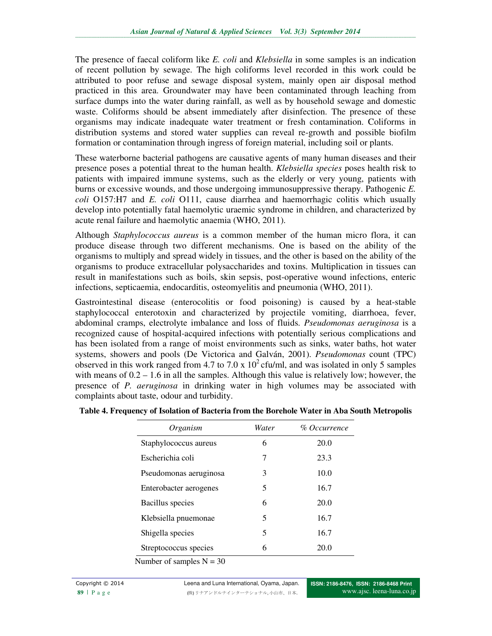The presence of faecal coliform like *E. coli* and *Klebsiella* in some samples is an indication of recent pollution by sewage. The high coliforms level recorded in this work could be attributed to poor refuse and sewage disposal system, mainly open air disposal method practiced in this area. Groundwater may have been contaminated through leaching from surface dumps into the water during rainfall, as well as by household sewage and domestic waste. Coliforms should be absent immediately after disinfection. The presence of these organisms may indicate inadequate water treatment or fresh contamination. Coliforms in distribution systems and stored water supplies can reveal re-growth and possible biofilm formation or contamination through ingress of foreign material, including soil or plants.

These waterborne bacterial pathogens are causative agents of many human diseases and their presence poses a potential threat to the human health. *Klebsiella species* poses health risk to patients with impaired immune systems, such as the elderly or very young, patients with burns or excessive wounds, and those undergoing immunosuppressive therapy. Pathogenic *E. coli* O157:H7 and *E. coli* O111, cause diarrhea and haemorrhagic colitis which usually develop into potentially fatal haemolytic uraemic syndrome in children, and characterized by acute renal failure and haemolytic anaemia (WHO, 2011).

Although *Staphylococcus aureus* is a common member of the human micro flora, it can produce disease through two different mechanisms. One is based on the ability of the organisms to multiply and spread widely in tissues, and the other is based on the ability of the organisms to produce extracellular polysaccharides and toxins. Multiplication in tissues can result in manifestations such as boils, skin sepsis, post-operative wound infections, enteric infections, septicaemia, endocarditis, osteomyelitis and pneumonia (WHO, 2011).

Gastrointestinal disease (enterocolitis or food poisoning) is caused by a heat-stable staphylococcal enterotoxin and characterized by projectile vomiting, diarrhoea, fever, abdominal cramps, electrolyte imbalance and loss of fluids. *Pseudomonas aeruginosa* is a recognized cause of hospital-acquired infections with potentially serious complications and has been isolated from a range of moist environments such as sinks, water baths, hot water systems, showers and pools (De Victorica and Galván, 2001). *Pseudomonas* count (TPC) observed in this work ranged from 4.7 to 7.0 x  $10^2$  cfu/ml, and was isolated in only 5 samples with means of  $0.2 - 1.6$  in all the samples. Although this value is relatively low; however, the presence of *P. aeruginosa* in drinking water in high volumes may be associated with complaints about taste, odour and turbidity.

| 6 | 20.0 |
|---|------|
| 7 | 23.3 |
| 3 | 10.0 |
| 5 | 16.7 |
| 6 | 20.0 |
| 5 | 16.7 |
| 5 | 16.7 |
| 6 | 20.0 |
|   |      |

**Table 4. Frequency of Isolation of Bacteria from the Borehole Water in Aba South Metropolis**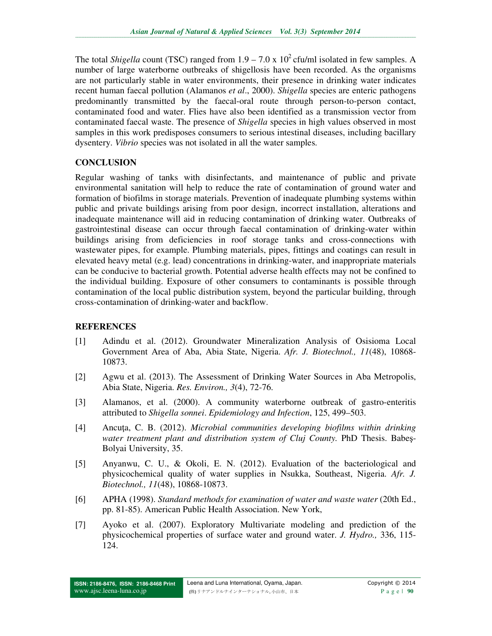The total *Shigella* count (TSC) ranged from  $1.9 - 7.0 \times 10^2$  cfu/ml isolated in few samples. A number of large waterborne outbreaks of shigellosis have been recorded. As the organisms are not particularly stable in water environments, their presence in drinking water indicates recent human faecal pollution (Alamanos *et al*., 2000). *Shigella* species are enteric pathogens predominantly transmitted by the faecal-oral route through person-to-person contact, contaminated food and water. Flies have also been identified as a transmission vector from contaminated faecal waste. The presence of *Shigella* species in high values observed in most samples in this work predisposes consumers to serious intestinal diseases, including bacillary dysentery. *Vibrio* species was not isolated in all the water samples.

## **CONCLUSION**

Regular washing of tanks with disinfectants, and maintenance of public and private environmental sanitation will help to reduce the rate of contamination of ground water and formation of biofilms in storage materials. Prevention of inadequate plumbing systems within public and private buildings arising from poor design, incorrect installation, alterations and inadequate maintenance will aid in reducing contamination of drinking water. Outbreaks of gastrointestinal disease can occur through faecal contamination of drinking-water within buildings arising from deficiencies in roof storage tanks and cross-connections with wastewater pipes, for example. Plumbing materials, pipes, fittings and coatings can result in elevated heavy metal (e.g. lead) concentrations in drinking-water, and inappropriate materials can be conducive to bacterial growth. Potential adverse health effects may not be confined to the individual building. Exposure of other consumers to contaminants is possible through contamination of the local public distribution system, beyond the particular building, through cross-contamination of drinking-water and backflow.

# **REFERENCES**

- [1] Adindu et al. (2012). Groundwater Mineralization Analysis of Osisioma Local Government Area of Aba, Abia State, Nigeria. *Afr. J. Biotechnol., 11*(48), 10868- 10873.
- [2] Agwu et al. (2013). The Assessment of Drinking Water Sources in Aba Metropolis, Abia State, Nigeria. *Res. Environ., 3*(4), 72-76.
- [3] Alamanos, et al. (2000). A community waterborne outbreak of gastro-enteritis attributed to *Shigella sonnei*. *Epidemiology and Infection*, 125, 499–503.
- [4] Ancuţa, C. B. (2012). *Microbial communities developing biofilms within drinking water treatment plant and distribution system of Cluj County.* PhD Thesis. Babeş-Bolyai University, 35.
- [5] Anyanwu, C. U., & Okoli, E. N. (2012). Evaluation of the bacteriological and physicochemical quality of water supplies in Nsukka, Southeast, Nigeria. *Afr. J. Biotechnol., 11*(48), 10868-10873.
- [6] APHA (1998). *Standard methods for examination of water and waste water* (20th Ed., pp. 81-85). American Public Health Association. New York,
- [7] Ayoko et al. (2007). Exploratory Multivariate modeling and prediction of the physicochemical properties of surface water and ground water. *J. Hydro.,* 336, 115- 124.